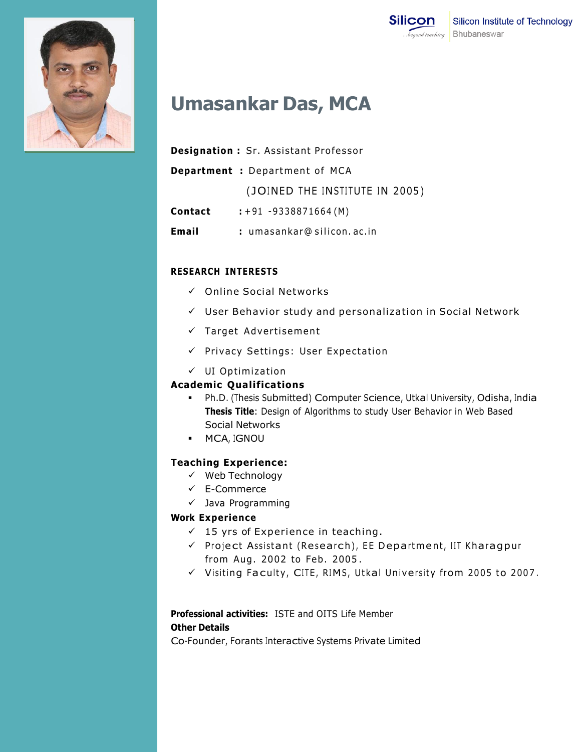



# **Umasankar Das, MCA**

|         | <b>Designation:</b> Sr. Assistant Professor |
|---------|---------------------------------------------|
|         | <b>Department :</b> Department of MCA       |
|         | (JOINED THE INSTITUTE IN 2005)              |
| Contact | $: +91 - 9338871664(M)$                     |
| Email   | : umasankar@silicon.ac.in                   |

#### **RESEARCH INTERESTS**

- $\checkmark$  Online Social Networks
- $\checkmark$  User Behavior study and personalization in Social Network
- $\checkmark$  Target Advertisement
- $\checkmark$  Privacy Settings: User Expectation
- $\checkmark$  UI Optimization

## **Academic Qualifications**

- Ph.D. (Thesis Submitted) Computer Science, Utkal University, Odisha, India **Thesis Title**: Design of Algorithms to study User Behavior in Web Based Social Networks
- **MCA, IGNOU**

## **Teaching Experience:**

- $\checkmark$  Web Technology
- E-Commerce
- $\checkmark$  Java Programming

## **Work Experience**

- $\checkmark$  15 yrs of Experience in teaching.
- $\checkmark$  Project Assistant (Research), EE Department, IIT Kharagpur from Aug. 2002 to Feb. 2005 .
- $\checkmark$  Visiting Faculty, CITE, RIMS, Utkal University from 2005 to 2007.

# **Professional activities:** ISTE and OITS Life Member

## **Other Details**

Co-Founder, Forants Interactive Systems Private Limited